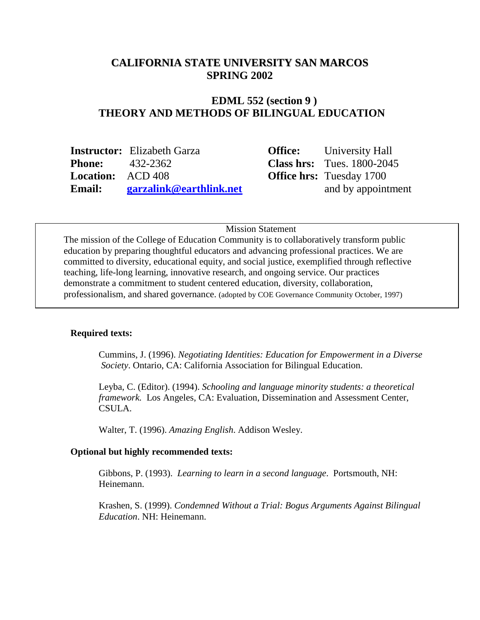#### **CALIFORNIA STATE UNIVERSITY SAN MARCOS SPRING 2002**

# **EDML 552 (section 9 ) THEORY AND METHODS OF BILINGUAL EDUCATION**

|                          | <b>Instructor:</b> Elizabeth Garza | <b>Office:</b> University Hall      |
|--------------------------|------------------------------------|-------------------------------------|
| <b>Phone:</b> 432-2362   |                                    | <b>Class hrs:</b> Tues. $1800-2045$ |
| <b>Location:</b> ACD 408 |                                    | <b>Office hrs:</b> Tuesday 1700     |
| <b>Email:</b>            | <b>garzalink@earthlink.net</b>     | and by appointment                  |

Mission Statement

The mission of the College of Education Community is to collaboratively transform public education by preparing thoughtful educators and advancing professional practices. We are committed to diversity, educational equity, and social justice, exemplified through reflective teaching, life-long learning, innovative research, and ongoing service. Our practices demonstrate a commitment to student centered education, diversity, collaboration, professionalism, and shared governance. (adopted by COE Governance Community October, 1997)

#### **Required texts:**

Cummins, J. (1996). *Negotiating Identities: Education for Empowerment in a Diverse Society*. Ontario, CA: California Association for Bilingual Education.

Leyba, C. (Editor). (1994). *Schooling and language minority students: a theoretical framework.* Los Angeles, CA: Evaluation, Dissemination and Assessment Center, CSULA.

Walter, T. (1996). *Amazing English*. Addison Wesley.

#### **Optional but highly recommended texts:**

Gibbons, P. (1993). *Learning to learn in a second language*. Portsmouth, NH: Heinemann.

Krashen, S. (1999). *Condemned Without a Trial: Bogus Arguments Against Bilingual Education*. NH: Heinemann.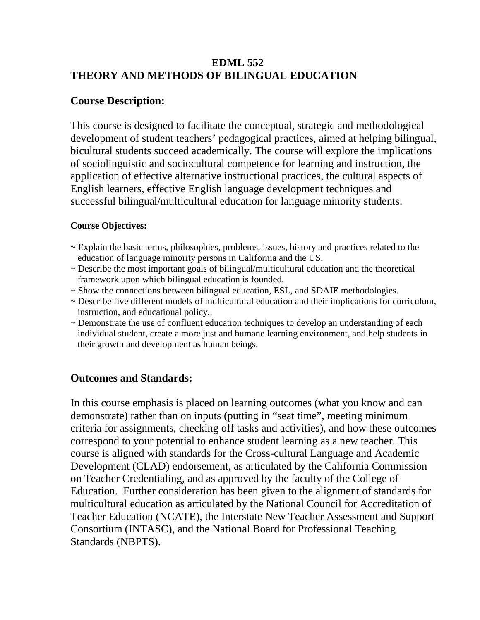# **EDML 552 THEORY AND METHODS OF BILINGUAL EDUCATION**

# **Course Description:**

This course is designed to facilitate the conceptual, strategic and methodological development of student teachers' pedagogical practices, aimed at helping bilingual, bicultural students succeed academically. The course will explore the implications of sociolinguistic and sociocultural competence for learning and instruction, the application of effective alternative instructional practices, the cultural aspects of English learners, effective English language development techniques and successful bilingual/multicultural education for language minority students.

#### **Course Objectives:**

- ~ Explain the basic terms, philosophies, problems, issues, history and practices related to the education of language minority persons in California and the US.
- $\sim$  Describe the most important goals of bilingual/multicultural education and the theoretical framework upon which bilingual education is founded.
- ~ Show the connections between bilingual education, ESL, and SDAIE methodologies.
- ~ Describe five different models of multicultural education and their implications for curriculum, instruction, and educational policy..
- ~ Demonstrate the use of confluent education techniques to develop an understanding of each individual student, create a more just and humane learning environment, and help students in their growth and development as human beings.

# **Outcomes and Standards:**

In this course emphasis is placed on learning outcomes (what you know and can demonstrate) rather than on inputs (putting in "seat time", meeting minimum criteria for assignments, checking off tasks and activities), and how these outcomes correspond to your potential to enhance student learning as a new teacher. This course is aligned with standards for the Cross-cultural Language and Academic Development (CLAD) endorsement, as articulated by the California Commission on Teacher Credentialing, and as approved by the faculty of the College of Education. Further consideration has been given to the alignment of standards for multicultural education as articulated by the National Council for Accreditation of Teacher Education (NCATE), the Interstate New Teacher Assessment and Support Consortium (INTASC), and the National Board for Professional Teaching Standards (NBPTS).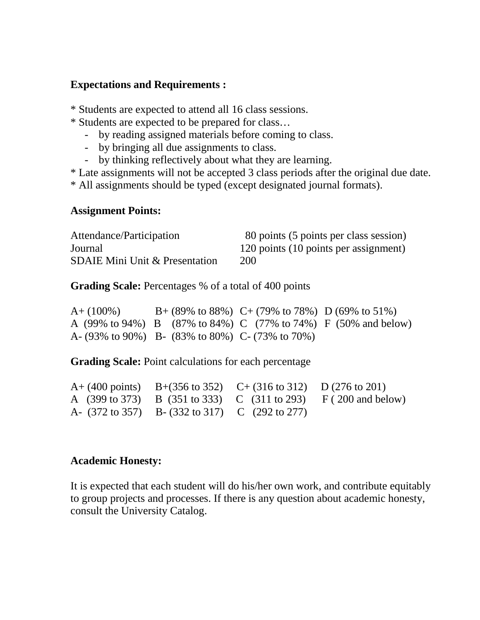#### **Expectations and Requirements :**

\* Students are expected to attend all 16 class sessions.

- \* Students are expected to be prepared for class…
	- by reading assigned materials before coming to class.
	- by bringing all due assignments to class.
	- by thinking reflectively about what they are learning.

\* Late assignments will not be accepted 3 class periods after the original due date.

\* All assignments should be typed (except designated journal formats).

### **Assignment Points:**

| Attendance/Participation                  | 80 points (5 points per class session) |
|-------------------------------------------|----------------------------------------|
| Journal                                   | 120 points (10 points per assignment)  |
| <b>SDAIE Mini Unit &amp; Presentation</b> | <b>200</b>                             |

**Grading Scale:** Percentages % of a total of 400 points

A+ (100%) B+ (89% to 88%) C+ (79% to 78%) D (69% to 51%) A (99% to 94%) B (87% to 84%) C (77% to 74%) F (50% and below) A- (93% to 90%) B- (83% to 80%) C- (73% to 70%)

**Grading Scale:** Point calculations for each percentage

|                                                                                 | A+ (400 points) B+(356 to 352) C+ (316 to 312) D (276 to 201) |                                                                                                                   |
|---------------------------------------------------------------------------------|---------------------------------------------------------------|-------------------------------------------------------------------------------------------------------------------|
|                                                                                 |                                                               | A $(399 \text{ to } 373)$ B $(351 \text{ to } 333)$ C $(311 \text{ to } 293)$ F $(200 \text{ and } \text{below})$ |
| A- $(372 \text{ to } 357)$ B- $(332 \text{ to } 317)$ C $(292 \text{ to } 277)$ |                                                               |                                                                                                                   |

### **Academic Honesty:**

It is expected that each student will do his/her own work, and contribute equitably to group projects and processes. If there is any question about academic honesty, consult the University Catalog.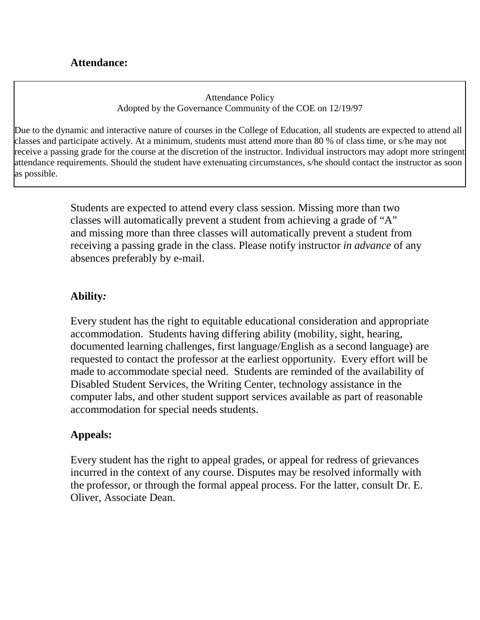Attendance Policy Adopted by the Governance Community of the COE on 12/19/97

Due to the dynamic and interactive nature of courses in the College of Education, all students are expected to attend all classes and participate actively. At a minimum, students must attend more than 80 % of class time, or s/he may not receive a passing grade for the course at the discretion of the instructor. Individual instructors may adopt more stringent attendance requirements. Should the student have extenuating circumstances, s/he should contact the instructor as soon as possible.

> Students are expected to attend every class session. Missing more than two classes will automatically prevent a student from achieving a grade of "A" and missing more than three classes will automatically prevent a student from receiving a passing grade in the class. Please notify instructor *in advance* of any absences preferably by e-mail.

# **Ability***:*

Every student has the right to equitable educational consideration and appropriate accommodation. Students having differing ability (mobility, sight, hearing, documented learning challenges, first language/English as a second language) are requested to contact the professor at the earliest opportunity. Every effort will be made to accommodate special need. Students are reminded of the availability of Disabled Student Services, the Writing Center, technology assistance in the computer labs, and other student support services available as part of reasonable accommodation for special needs students.

### **Appeals:**

Every student has the right to appeal grades, or appeal for redress of grievances incurred in the context of any course. Disputes may be resolved informally with the professor, or through the formal appeal process. For the latter, consult Dr. E. Oliver, Associate Dean.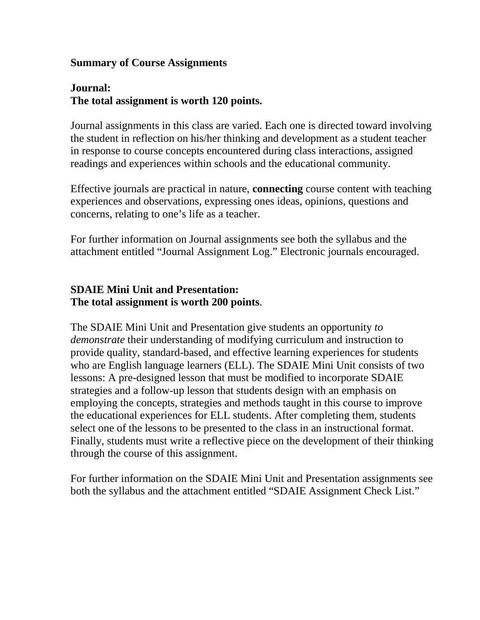### **Summary of Course Assignments**

# **Journal: The total assignment is worth 120 points.**

Journal assignments in this class are varied. Each one is directed toward involving the student in reflection on his/her thinking and development as a student teacher in response to course concepts encountered during class interactions, assigned readings and experiences within schools and the educational community.

Effective journals are practical in nature, **connecting** course content with teaching experiences and observations, expressing ones ideas, opinions, questions and concerns, relating to one's life as a teacher.

For further information on Journal assignments see both the syllabus and the attachment entitled "Journal Assignment Log." Electronic journals encouraged.

# **SDAIE Mini Unit and Presentation: The total assignment is worth 200 points**.

The SDAIE Mini Unit and Presentation give students an opportunity *to demonstrate* their understanding of modifying curriculum and instruction to provide quality, standard-based, and effective learning experiences for students who are English language learners (ELL). The SDAIE Mini Unit consists of two lessons: A pre-designed lesson that must be modified to incorporate SDAIE strategies and a follow-up lesson that students design with an emphasis on employing the concepts, strategies and methods taught in this course to improve the educational experiences for ELL students. After completing them, students select one of the lessons to be presented to the class in an instructional format. Finally, students must write a reflective piece on the development of their thinking through the course of this assignment.

For further information on the SDAIE Mini Unit and Presentation assignments see both the syllabus and the attachment entitled "SDAIE Assignment Check List."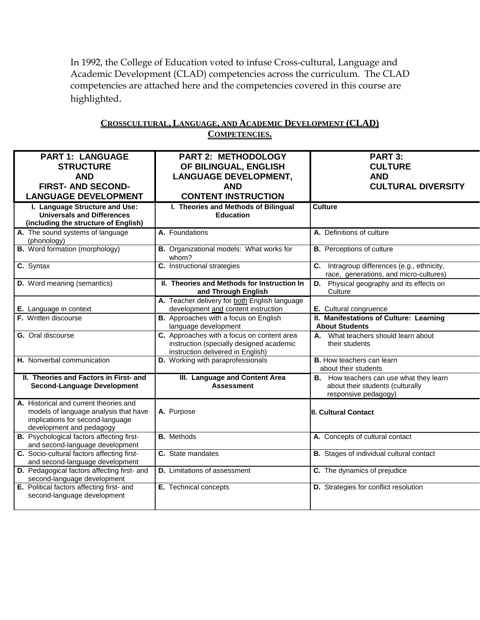In 1992, the College of Education voted to infuse Cross-cultural, Language and Academic Development (CLAD) competencies across the curriculum. The CLAD competencies are attached here and the competencies covered in this course are highlighted.

| <b>PART 1: LANGUAGE</b><br><b>STRUCTURE</b>                                                                                                     | <b>PART 2: METHODOLOGY</b><br>OF BILINGUAL, ENGLISH                                                                         | PART 3:<br><b>CULTURE</b>                                                                           |
|-------------------------------------------------------------------------------------------------------------------------------------------------|-----------------------------------------------------------------------------------------------------------------------------|-----------------------------------------------------------------------------------------------------|
| <b>AND</b>                                                                                                                                      | <b>LANGUAGE DEVELOPMENT,</b>                                                                                                | <b>AND</b>                                                                                          |
| <b>FIRST- AND SECOND-</b>                                                                                                                       | <b>AND</b>                                                                                                                  | <b>CULTURAL DIVERSITY</b>                                                                           |
| <b>LANGUAGE DEVELOPMENT</b>                                                                                                                     | <b>CONTENT INSTRUCTION</b>                                                                                                  |                                                                                                     |
| I. Language Structure and Use:                                                                                                                  | I. Theories and Methods of Bilingual                                                                                        | <b>Culture</b>                                                                                      |
| <b>Universals and Differences</b><br>(including the structure of English)                                                                       | <b>Education</b>                                                                                                            |                                                                                                     |
| A. The sound systems of language<br>(phonology)                                                                                                 | A. Foundations                                                                                                              | A. Definitions of culture                                                                           |
| <b>B.</b> Word formation (morphology)                                                                                                           | B. Organizational models: What works for<br>whom?                                                                           | <b>B.</b> Perceptions of culture                                                                    |
| C. Syntax                                                                                                                                       | C. Instructional strategies                                                                                                 | C. Intragroup differences (e.g., ethnicity,<br>race, generations, and micro-cultures)               |
| <b>D.</b> Word meaning (semantics)                                                                                                              | II. Theories and Methods for Instruction In<br>and Through English                                                          | <b>D.</b> Physical geography and its effects on<br>Culture                                          |
| E. Language in context                                                                                                                          | A. Teacher delivery for both English language<br>development and content instruction                                        | E. Cultural congruence                                                                              |
| F. Written discourse                                                                                                                            | <b>B.</b> Approaches with a focus on English                                                                                | II. Manifestations of Culture: Learning                                                             |
|                                                                                                                                                 | language development                                                                                                        | <b>About Students</b>                                                                               |
| G. Oral discourse                                                                                                                               | C. Approaches with a focus on content area<br>instruction (specially designed academic<br>instruction delivered in English) | A. What teachers should learn about<br>their students                                               |
| H. Nonverbal communication                                                                                                                      | D. Working with paraprofessionals                                                                                           | <b>B.</b> How teachers can learn<br>about their students                                            |
| II. Theories and Factors in First- and<br><b>Second-Language Development</b>                                                                    | III. Language and Content Area<br><b>Assessment</b>                                                                         | B. How teachers can use what they learn<br>about their students (culturally<br>responsive pedagogy) |
| A. Historical and current theories and<br>models of language analysis that have<br>implications for second-language<br>development and pedagogy | A. Purpose                                                                                                                  | <b>II. Cultural Contact</b>                                                                         |
| <b>B.</b> Psychological factors affecting first-<br>and second-language development                                                             | <b>B.</b> Methods                                                                                                           | A. Concepts of cultural contact                                                                     |
| C. Socio-cultural factors affecting first-<br>and second-language development                                                                   | C. State mandates                                                                                                           | <b>B.</b> Stages of individual cultural contact                                                     |
| D. Pedagogical factors affecting first- and<br>second-language development                                                                      | <b>D.</b> Limitations of assessment                                                                                         | C. The dynamics of prejudice                                                                        |
| E. Political factors affecting first- and<br>second-language development                                                                        | E. Technical concepts                                                                                                       | D. Strategies for conflict resolution                                                               |

#### **CROSSCULTURAL, LANGUAGE, AND ACADEMIC DEVELOPMENT (CLAD) COMPETENCIES.**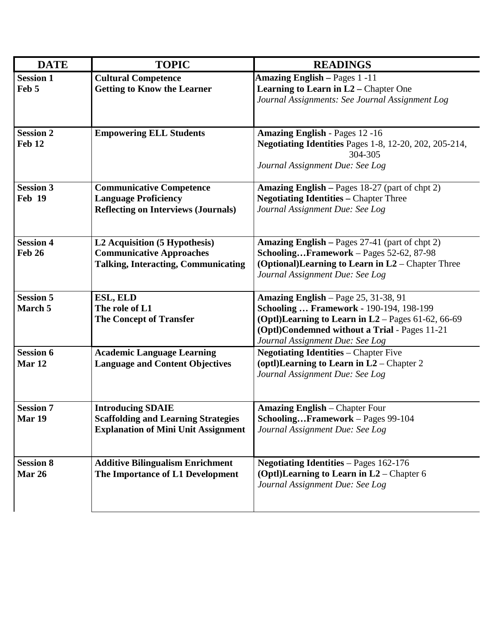| <b>DATE</b>       | <b>TOPIC</b>                               | <b>READINGS</b>                                                          |
|-------------------|--------------------------------------------|--------------------------------------------------------------------------|
| <b>Session 1</b>  | <b>Cultural Competence</b>                 | <b>Amazing English - Pages 1 -11</b>                                     |
| Feb 5             | <b>Getting to Know the Learner</b>         | <b>Learning to Learn in L2</b> – Chapter One                             |
|                   |                                            | Journal Assignments: See Journal Assignment Log                          |
|                   |                                            |                                                                          |
|                   |                                            |                                                                          |
| <b>Session 2</b>  | <b>Empowering ELL Students</b>             | <b>Amazing English - Pages 12 -16</b>                                    |
| Feb 12            |                                            | <b>Negotiating Identities Pages 1-8, 12-20, 202, 205-214,</b><br>304-305 |
|                   |                                            | Journal Assignment Due: See Log                                          |
|                   |                                            |                                                                          |
| <b>Session 3</b>  | <b>Communicative Competence</b>            | Amazing English - Pages 18-27 (part of chpt 2)                           |
| <b>Feb 19</b>     | <b>Language Proficiency</b>                | <b>Negotiating Identities - Chapter Three</b>                            |
|                   | <b>Reflecting on Interviews (Journals)</b> | Journal Assignment Due: See Log                                          |
|                   |                                            |                                                                          |
| <b>Session 4</b>  | L2 Acquisition (5 Hypothesis)              | Amazing English - Pages 27-41 (part of chpt 2)                           |
| <b>Feb 26</b>     | <b>Communicative Approaches</b>            | SchoolingFramework - Pages 52-62, 87-98                                  |
|                   | <b>Talking, Interacting, Communicating</b> | (Optional) Learning to Learn in $L2$ – Chapter Three                     |
|                   |                                            | Journal Assignment Due: See Log                                          |
|                   |                                            |                                                                          |
| <b>Session 5</b>  | ESL, ELD                                   | Amazing English - Page 25, 31-38, 91                                     |
| March 5           | The role of L1                             | Schooling  Framework - 190-194, 198-199                                  |
|                   | <b>The Concept of Transfer</b>             | (Optl)Learning to Learn in L2 - Pages 61-62, 66-69                       |
|                   |                                            | (Optl)Condemned without a Trial - Pages 11-21                            |
|                   |                                            | Journal Assignment Due: See Log                                          |
| <b>Session 6</b>  | <b>Academic Language Learning</b>          | <b>Negotiating Identities – Chapter Five</b>                             |
| Mar <sub>12</sub> | <b>Language and Content Objectives</b>     | (optl)Learning to Learn in $L2$ – Chapter 2                              |
|                   |                                            | Journal Assignment Due: See Log                                          |
|                   |                                            |                                                                          |
| <b>Session 7</b>  | <b>Introducing SDAIE</b>                   | <b>Amazing English - Chapter Four</b>                                    |
| Mar 19            | <b>Scaffolding and Learning Strategies</b> | SchoolingFramework - Pages 99-104                                        |
|                   | <b>Explanation of Mini Unit Assignment</b> | Journal Assignment Due: See Log                                          |
|                   |                                            |                                                                          |
| <b>Session 8</b>  | <b>Additive Bilingualism Enrichment</b>    | <b>Negotiating Identities</b> – Pages 162-176                            |
| <b>Mar 26</b>     | The Importance of L1 Development           | (Optl)Learning to Learn in $L2$ – Chapter 6                              |
|                   |                                            | Journal Assignment Due: See Log                                          |
|                   |                                            |                                                                          |
|                   |                                            |                                                                          |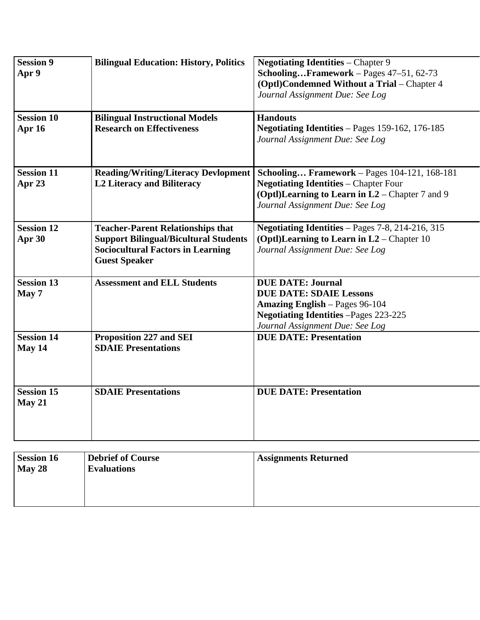| <b>Session 9</b><br>Apr 9   | <b>Bilingual Education: History, Politics</b>                                                                                                                | <b>Negotiating Identities – Chapter 9</b><br>SchoolingFramework - Pages 47-51, 62-73<br>(Optl)Condemned Without a Trial - Chapter 4<br>Journal Assignment Due: See Log                    |
|-----------------------------|--------------------------------------------------------------------------------------------------------------------------------------------------------------|-------------------------------------------------------------------------------------------------------------------------------------------------------------------------------------------|
| <b>Session 10</b><br>Apr 16 | <b>Bilingual Instructional Models</b><br><b>Research on Effectiveness</b>                                                                                    | <b>Handouts</b><br>Negotiating Identities - Pages 159-162, 176-185<br>Journal Assignment Due: See Log                                                                                     |
| <b>Session 11</b><br>Apr 23 | <b>Reading/Writing/Literacy Devlopment</b><br><b>L2 Literacy and Biliteracy</b>                                                                              | <b>Schooling Framework</b> - Pages 104-121, 168-181<br><b>Negotiating Identities - Chapter Four</b><br>(Optl)Learning to Learn in L2 – Chapter 7 and 9<br>Journal Assignment Due: See Log |
| <b>Session 12</b><br>Apr 30 | <b>Teacher-Parent Relationships that</b><br><b>Support Bilingual/Bicultural Students</b><br><b>Sociocultural Factors in Learning</b><br><b>Guest Speaker</b> | Negotiating Identities - Pages 7-8, 214-216, 315<br>(Optl)Learning to Learn in $L2$ – Chapter 10<br>Journal Assignment Due: See Log                                                       |
| <b>Session 13</b><br>May 7  | <b>Assessment and ELL Students</b>                                                                                                                           | <b>DUE DATE: Journal</b><br><b>DUE DATE: SDAIE Lessons</b><br><b>Amazing English</b> – Pages 96-104<br><b>Negotiating Identities -Pages 223-225</b><br>Journal Assignment Due: See Log    |
| Session 14<br>May 14        | <b>Proposition 227 and SEI</b><br><b>SDAIE Presentations</b>                                                                                                 | <b>DUE DATE: Presentation</b>                                                                                                                                                             |
| <b>Session 15</b><br>May 21 | <b>SDAIE Presentations</b>                                                                                                                                   | <b>DUE DATE: Presentation</b>                                                                                                                                                             |

| <b>Session 16</b><br>May $28$ | <b>Debrief of Course</b><br><b>Evaluations</b> | <b>Assignments Returned</b> |
|-------------------------------|------------------------------------------------|-----------------------------|
|                               |                                                |                             |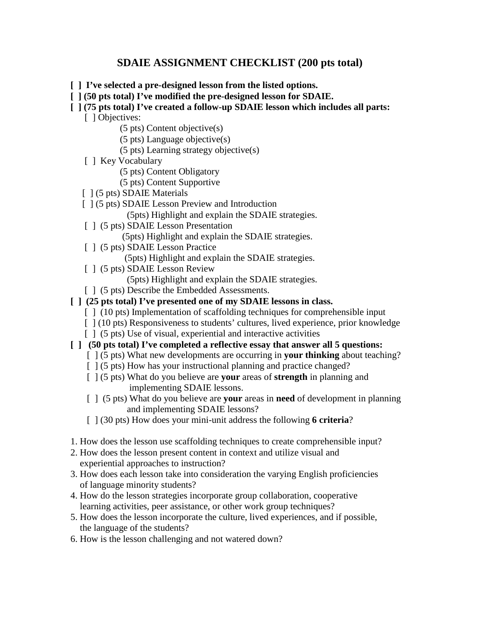### **SDAIE ASSIGNMENT CHECKLIST (200 pts total)**

- **[ ] I've selected a pre-designed lesson from the listed options.**
- **[ ] (50 pts total) I've modified the pre-designed lesson for SDAIE.**

#### **[ ] (75 pts total) I've created a follow-up SDAIE lesson which includes all parts:**

- [ ] Objectives:
	- (5 pts) Content objective(s)
	- (5 pts) Language objective(s)
	- (5 pts) Learning strategy objective(s)
- [ ] Key Vocabulary
	- (5 pts) Content Obligatory
	- (5 pts) Content Supportive
- [ ] (5 pts) SDAIE Materials
- [  $\vert$  (5 pts) SDAIE Lesson Preview and Introduction
	- (5pts) Highlight and explain the SDAIE strategies.
- [  $\vert$  (5 pts) SDAIE Lesson Presentation
	- (5pts) Highlight and explain the SDAIE strategies.
- [ ] (5 pts) SDAIE Lesson Practice
	- (5pts) Highlight and explain the SDAIE strategies.
- [ ] (5 pts) SDAIE Lesson Review
	- (5pts) Highlight and explain the SDAIE strategies.
- [  $\mid$  (5 pts) Describe the Embedded Assessments.
- **[ ] (25 pts total) I've presented one of my SDAIE lessons in class.**
	- [ ] (10 pts) Implementation of scaffolding techniques for comprehensible input
	- [  $(10 \text{ pts})$  Responsiveness to students' cultures, lived experience, prior knowledge
	- [  $\mid$  (5 pts) Use of visual, experiential and interactive activities
- **[ ] (50 pts total) I've completed a reflective essay that answer all 5 questions:** 
	- [ ] (5 pts) What new developments are occurring in **your thinking** about teaching?
	- [  $\vert$  (5 pts) How has your instructional planning and practice changed?
	- [ ] (5 pts) What do you believe are **your** areas of **strength** in planning and implementing SDAIE lessons.
	- [ ] (5 pts) What do you believe are **your** areas in **need** of development in planning and implementing SDAIE lessons?
	- [ ] (30 pts) How does your mini-unit address the following **6 criteria**?
- 1. How does the lesson use scaffolding techniques to create comprehensible input?
- 2. How does the lesson present content in context and utilize visual and experiential approaches to instruction?
- 3. How does each lesson take into consideration the varying English proficiencies of language minority students?
- 4. How do the lesson strategies incorporate group collaboration, cooperative learning activities, peer assistance, or other work group techniques?
- 5. How does the lesson incorporate the culture, lived experiences, and if possible, the language of the students?
- 6. How is the lesson challenging and not watered down?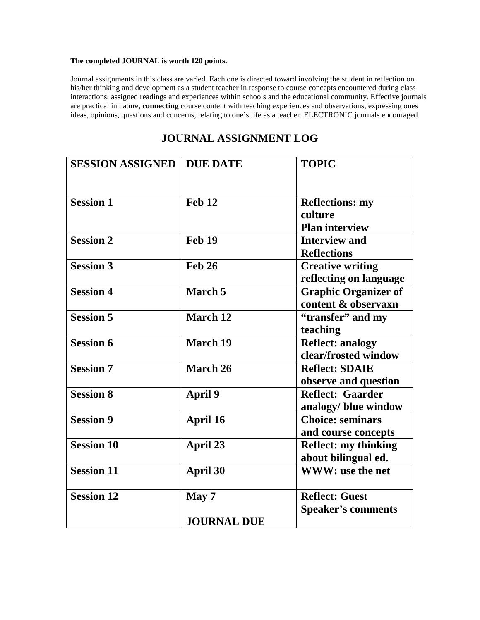#### **The completed JOURNAL is worth 120 points.**

Journal assignments in this class are varied. Each one is directed toward involving the student in reflection on his/her thinking and development as a student teacher in response to course concepts encountered during class interactions, assigned readings and experiences within schools and the educational community. Effective journals are practical in nature, **connecting** course content with teaching experiences and observations, expressing ones ideas, opinions, questions and concerns, relating to one's life as a teacher. ELECTRONIC journals encouraged.

| <b>SESSION ASSIGNED</b> | <b>DUE DATE</b>    | <b>TOPIC</b>                                               |
|-------------------------|--------------------|------------------------------------------------------------|
| <b>Session 1</b>        | <b>Feb 12</b>      | <b>Reflections: my</b><br>culture<br><b>Plan interview</b> |
| <b>Session 2</b>        | <b>Feb 19</b>      | <b>Interview and</b><br><b>Reflections</b>                 |
| <b>Session 3</b>        | <b>Feb 26</b>      | <b>Creative writing</b><br>reflecting on language          |
| <b>Session 4</b>        | March 5            | <b>Graphic Organizer of</b><br>content & observaxn         |
| <b>Session 5</b>        | March 12           | "transfer" and my<br>teaching                              |
| <b>Session 6</b>        | <b>March 19</b>    | <b>Reflect: analogy</b><br>clear/frosted window            |
| <b>Session 7</b>        | March 26           | <b>Reflect: SDAIE</b><br>observe and question              |
| <b>Session 8</b>        | <b>April 9</b>     | <b>Reflect: Gaarder</b><br>analogy/ blue window            |
| <b>Session 9</b>        | April 16           | <b>Choice: seminars</b><br>and course concepts             |
| <b>Session 10</b>       | April 23           | <b>Reflect: my thinking</b><br>about bilingual ed.         |
| <b>Session 11</b>       | <b>April 30</b>    | WWW: use the net                                           |
| <b>Session 12</b>       | May 7              | <b>Reflect: Guest</b><br><b>Speaker's comments</b>         |
|                         | <b>JOURNAL DUE</b> |                                                            |

# **JOURNAL ASSIGNMENT LOG**